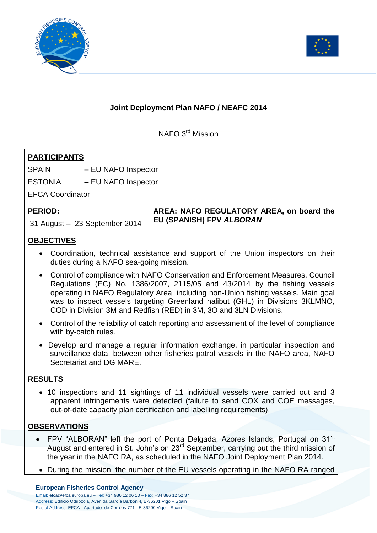



## **Joint Deployment Plan NAFO / NEAFC 2014**

NAFO 3<sup>rd</sup> Mission

| <b>PARTICIPANTS</b>                                                                                                                                                                                                                                                                                                                                                                                       |                                                                      |
|-----------------------------------------------------------------------------------------------------------------------------------------------------------------------------------------------------------------------------------------------------------------------------------------------------------------------------------------------------------------------------------------------------------|----------------------------------------------------------------------|
| SPAIN<br>- EU NAFO Inspector                                                                                                                                                                                                                                                                                                                                                                              |                                                                      |
| ESTONIA<br>- EU NAFO Inspector                                                                                                                                                                                                                                                                                                                                                                            |                                                                      |
| <b>EFCA Coordinator</b>                                                                                                                                                                                                                                                                                                                                                                                   |                                                                      |
| <b>PERIOD:</b><br>31 August - 23 September 2014                                                                                                                                                                                                                                                                                                                                                           | AREA: NAFO REGULATORY AREA, on board the<br>EU (SPANISH) FPV ALBORAN |
| <b>OBJECTIVES</b>                                                                                                                                                                                                                                                                                                                                                                                         |                                                                      |
| • Coordination, technical assistance and support of the Union inspectors on their<br>duties during a NAFO sea-going mission.                                                                                                                                                                                                                                                                              |                                                                      |
| • Control of compliance with NAFO Conservation and Enforcement Measures, Council<br>Regulations (EC) No. 1386/2007, 2115/05 and 43/2014 by the fishing vessels<br>operating in NAFO Regulatory Area, including non-Union fishing vessels. Main goal<br>was to inspect vessels targeting Greenland halibut (GHL) in Divisions 3KLMNO,<br>COD in Division 3M and Redfish (RED) in 3M, 3O and 3LN Divisions. |                                                                      |
| • Control of the reliability of catch reporting and assessment of the level of compliance<br>with by-catch rules.                                                                                                                                                                                                                                                                                         |                                                                      |

 Develop and manage a regular information exchange, in particular inspection and surveillance data, between other fisheries patrol vessels in the NAFO area, NAFO Secretariat and DG MARE.

## **RESULTS**

 10 inspections and 11 sightings of 11 individual vessels were carried out and 3 apparent infringements were detected (failure to send COX and COE messages, out-of-date capacity plan certification and labelling requirements).

## **OBSERVATIONS**

- FPV "ALBORAN" left the port of Ponta Delgada, Azores Islands, Portugal on 31<sup>st</sup> August and entered in St. John's on 23<sup>rd</sup> September, carrying out the third mission of the year in the NAFO RA, as scheduled in the NAFO Joint Deployment Plan 2014.
- During the mission, the number of the EU vessels operating in the NAFO RA ranged

**European Fisheries Control Agency**

Email: efca@efca.europa.eu – Tel: +34 986 12 06 10 – Fax: +34 886 12 52 37 Address: Edificio Odriozola, Avenida García Barbón 4, E-36201 Vigo – Spain Postal Address: EFCA - Apartado de Correos 771 - E-36200 Vigo – Spain